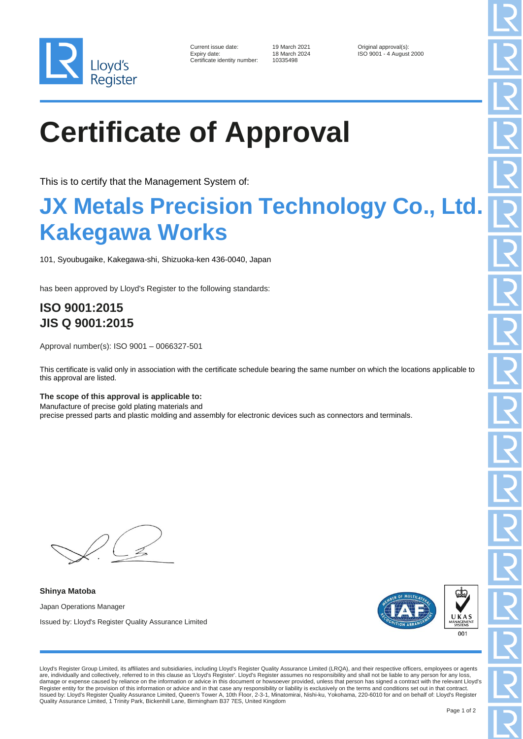

| Current issue date:        |
|----------------------------|
| Expiry date:               |
| Certificate identity numbe |

10335498

19 March 2021 **Current Contains Container State Inc.**<br>18 March 2024 **ISO 9001 - 4 August** ISO 9001 - 4 August 2000

# **Certificate of Approval**

This is to certify that the Management System of:

### **JX Metals Precision Technology Co., Ltd. Kakegawa Works**

101, Syoubugaike, Kakegawa-shi, Shizuoka-ken 436-0040, Japan

has been approved by Lloyd's Register to the following standards:

### **ISO 9001:2015 JIS Q 9001:2015**

Approval number(s): ISO 9001 – 0066327-501

This certificate is valid only in association with the certificate schedule bearing the same number on which the locations applicable to this approval are listed.

#### **The scope of this approval is applicable to:**

Manufacture of precise gold plating materials and

precise pressed parts and plastic molding and assembly for electronic devices such as connectors and terminals.

**Shinya Matoba** Japan Operations Manager Issued by: Lloyd's Register Quality Assurance Limited



Lloyd's Register Group Limited, its affiliates and subsidiaries, including Lloyd's Register Quality Assurance Limited (LRQA), and their respective officers, employees or agents are, individually and collectively, referred to in this clause as 'Lloyd's Register'. Lloyd's Register assumes no responsibility and shall not be liable to any person for any loss, damage or expense caused by reliance on the information or advice in this document or howsoever provided, unless that person has signed a contract with the relevant Lloyd's Register entity for the provision of this information or advice and in that case any responsibility or liability is exclusively on the terms and conditions set out in that contract.<br>Issued by: Lloyd's Register Quality Assu Quality Assurance Limited, 1 Trinity Park, Bickenhill Lane, Birmingham B37 7ES, United Kingdom